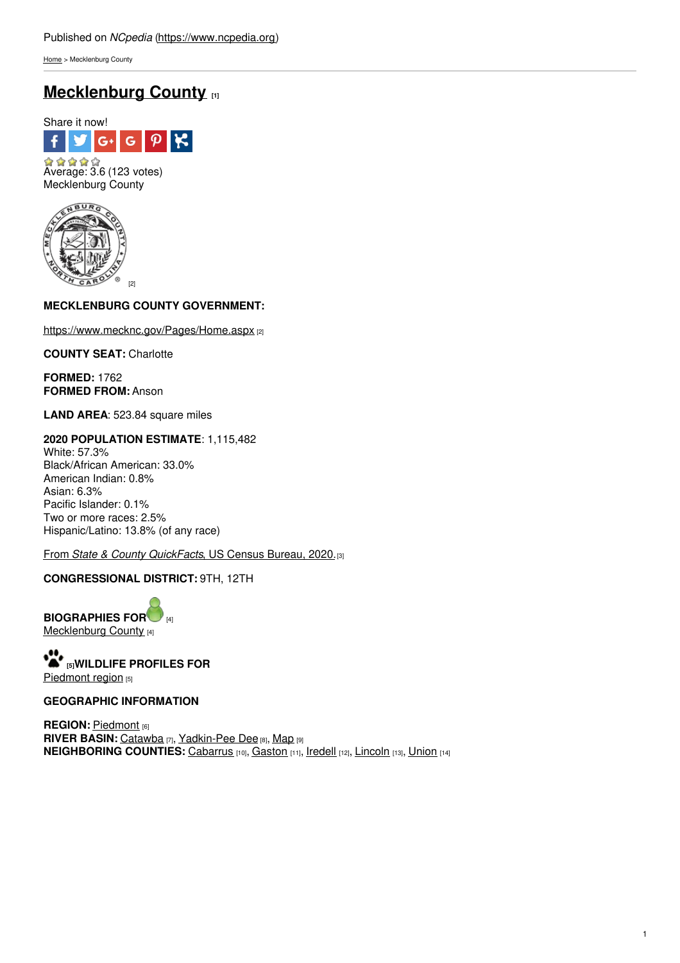[Home](https://www.ncpedia.org/) > Mecklenburg County

# **[Mecklenburg](https://www.ncpedia.org/geography/mecklenburg) County [1]**





# **MECKLENBURG COUNTY GOVE[RNMENT:](http://www.social9.com)**

<https://www.mecknc.gov/Pages/Home.aspx> [2]

**COUNTY SEAT:** Charlotte

**FORMED:** 1762 **FORMED FROM:** Anson

**LAND AREA**: 523.84 square miles

**2020 POPULATION ESTIMATE**: 1,115,482 White: 57.3% Black/African American: 33.0% American Indian: 0.8% Asian: 6.3% Pacific Islander: 0.1% Two or more races: 2.5% Hispanic/Latino: 13.8% (of any race)

From *State & County [QuickFacts](https://www.census.gov/quickfacts/fact/table/mecklenburgcountynorthcarolina/POP010220)*, US Census Bureau, 2020.[3]

# **CONGRESSIONAL DISTRICT:** 9TH, 12TH

**BIOG[R](https://www.ncpedia.org/geography/mecklenburg-county/biography)APHIES FOR** [Mecklenburg](https://www.ncpedia.org/geography/mecklenburg-county/biography) County [4]

**[5]WILDLIFE PROFILES FOR** [Piedmont](https://www.ncpedia.org/wildlife/piedmont) region [5]

## **GEOGRAPHIC INFORMATION**

**REGION: [Piedmont](https://www.ncpedia.org/geography/region/piedmont) [6] RIVER BASIN:** [Catawba](https://files.nc.gov/deqee/documents/files/catawba-river-basin.pdf) [7], [Yadkin-Pee](https://files.nc.gov/deqee/documents/files/yadkin-river-basin.pdf) Dee [8], [Map](https://ncdenr.maps.arcgis.com/apps/PublicInformation/index.html?appid=f82f583438e74bf29adcc76247381eee) [9] **NEIGHBORING COUNTIES:** [Cabarrus](https://www.ncpedia.org/geography/cabarrus) [10], [Gaston](https://www.ncpedia.org/geography/gaston) [11], [Iredell](https://www.ncpedia.org/geography/iredell) [12], [Lincoln](https://www.ncpedia.org/geography/lincoln) [13], [Union](https://www.ncpedia.org/geography/union) [14]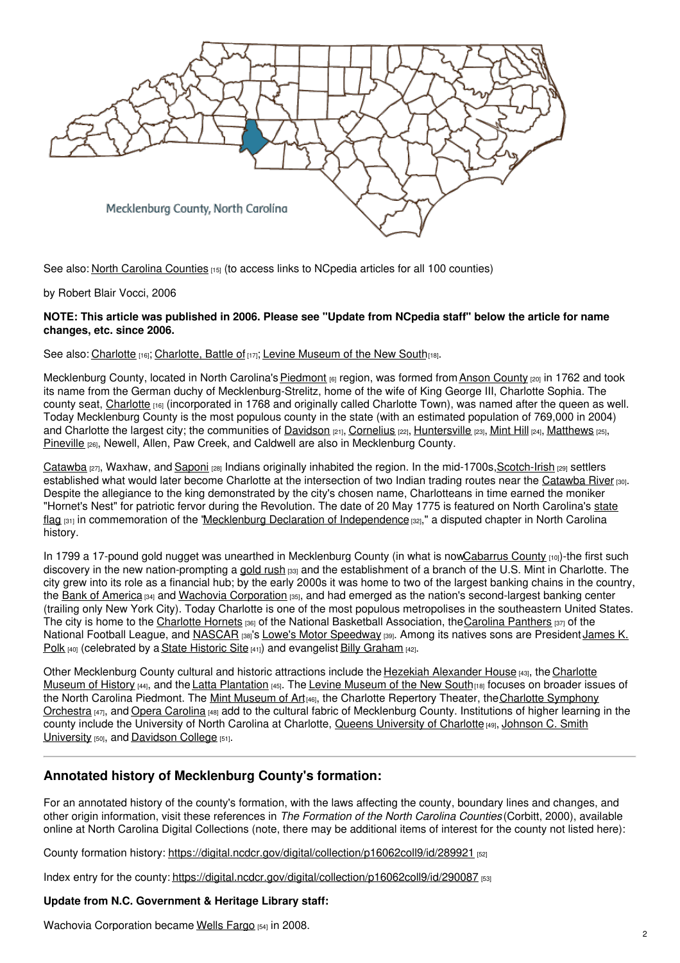

See also: North Carolina [Counties](https://www.ncpedia.org/geography/counties) [15] (to access links to NCpedia articles for all 100 counties)

by Robert Blair Vocci, 2006

## NOTE: This article was published in 2006. Please see "Update from NCpedia staff" below the article for name **changes, etc. since 2006.**

### See also: [Charlotte](https://www.ncpedia.org/geography/charlotte) [16]; [Charlotte,](https://ncpedia.org/charlotte-battle) Battle of [17]; Levine [Museum](https://www.ncpedia.org/levine-museum-new-south) of the New South[18].

Mecklenburg County, located in North Carolina's [Piedmont](https://www.ncpedia.org/geography/region/piedmont) [6] region, was formed from Anson [County](https://www.ncpedia.org/geography/anson) [20] in 1762 and took its name from the German duchy of Mecklenburg-Strelitz, home of the wife of King George III, Charlotte Sophia. The county seat, [Charlotte](https://www.ncpedia.org/geography/charlotte) [16] (incorporated in 1768 and originally called Charlotte Town), was named after the queen as well. Today Mecklenburg County is the most populous county in the state (with an estimated population of 769,000 in 2004) and Charlotte the largest city; the communities of [Davidson](https://www.townofdavidson.org/) [21], [Cornelius](http://www.cornelius.org/) [22], [Huntersville](http://www.huntersville.org/) [23], [Mint](https://www.minthill.com/) Hill [24], [Matthews](https://matthewsnc.gov/) [25], [Pineville](https://www.pinevillenc.gov/) [26], Newell, Allen, Paw Creek, and Caldwell are also in Mecklenburg County.

[Catawba](https://www.ncpedia.org/catawba-indians) [27], Waxhaw, and [Saponi](https://www.ncpedia.org/saponi-indians) [28] Indians originally inhabited the region. In the mid-1700s, Scotch-Irish [29] settlers established what would later become Charlotte at the intersection of two Indian trading routes near the [Catawba](https://www.ncpedia.org/rivers/catawba) River [30]. Despite the allegiance to the king demonstrated by the city's chosen name, Charlotteans in time earned the moniker "Hornet's Nest" for patriotic fervor during the Revolution. The date of 20 May 1775 is featured on North Carolina's state flag [31] in [commemoration](https://www.ncpedia.org/symbols/flag) of the 'Mecklenburg Declaration of [Independence](https://www.ncpedia.org/mecklenburg-declaration) [32]," a disputed chapter in North Carolina history.

In 1799 a 17-pound gold nugget was unearthed in Mecklenburg County (in what is no[wCabarrus](https://www.ncpedia.org/geography/cabarrus) County [10])-the first such discovery in the new nation-prompting a [gold](https://www.ncpedia.org/gold-rush) rush [33] and the establishment of a branch of the U.S. Mint in Charlotte. The city grew into its role as a financial hub; by the early 2000s it was home to two of the largest banking chains in the country, the Bank of [America](https://www.ncpedia.org/bank-america) [34] and Wachovia [Corporation](https://www.ncpedia.org/wachovia-corporation) [35], and had emerged as the nation's second-largest banking center (trailing only New York City). Today Charlotte is one of the most populous metropolises in the southeastern United States. The city is home to the [Charlotte](https://www.nba.com/hornets) Hornets [36] of the National Basketball Association, the Carolina [Panthers](https://www.panthers.com/) [37] of the National Football League, and [NASCAR](https://www.ncpedia.org/nascar) [38]'s Lowe's Motor [Speedway](https://www.charlottemotorspeedway.com/) [39]. Among its natives sons are President James K. Polk  $[40]$  [\(celebrated](https://www.ncpedia.org/biography/polk-james) by a State [Historic](https://www.ncpedia.org/james-k-polk-memorial) Site  $[41]$ ) and evangelist Billy [Graham](https://www.ncpedia.org/graham-william-billy-franklin-jr)  $[42]$ .

Other [Mecklenburg](https://charlottemuseum.org/) County cultural and historic attractions include the Hezekiah [Alexander](https://charlottemuseum.org/about/1774-alexander-homesite/) House [43], the Charlotte Museum of History [44], and the Latta [Plantation](http://landmarkscommission.org/wp-content/uploads/2017/06/Latta-Place-SR.pdf) [45]. The Levine [Museum](https://www.ncpedia.org/levine-museum-new-south) of the New South[18] focuses on broader issues of the North Carolina Piedmont. The Mint [Museum](https://www.ncpedia.org/mint-museum-art) of Art<sub>[46]</sub>, the Charlotte Repertory Theater, the Charlotte Symphony Orchestra [47], and Opera [Carolina](https://operacarolina.org/) [48] add to the cultural fabric of Mecklenburg County. Institutions of higher learning in the county include the [University](https://www.ncpedia.org/johnson-c-smith-university) of North Carolina at Charlotte, Queens University of Charlotte [49], Johnson C. Smith University [50], and [Davidson](https://www.ncpedia.org/davidson-college) College [51].

# **Annotated history of Mecklenburg County's formation:**

For an annotated history of the county's formation, with the laws affecting the county, boundary lines and changes, and other origin information, visit these references in *The Formation of the North Carolina Counties* (Corbitt, 2000), available online at North Carolina Digital Collections (note, there may be additional items of interest for the county not listed here):

County formation history: <https://digital.ncdcr.gov/digital/collection/p16062coll9/id/289921> [52]

Index entry for the county: <https://digital.ncdcr.gov/digital/collection/p16062coll9/id/290087> [53]

## **Update from N.C. Government & Heritage Library staff:**

Wachovia Corporation became Wells [Fargo](https://www.wellsfargo.com/about/corporate/wachovia) [54] in 2008.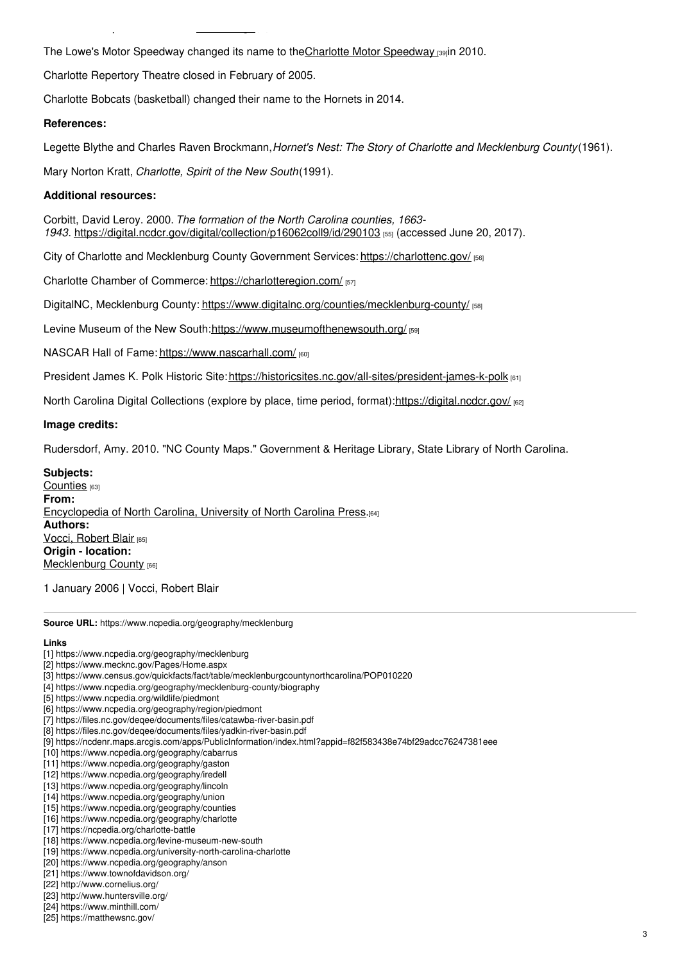The Lowe's Motor [Speedway](https://www.charlottemotorspeedway.com/) changed its name to the Charlotte Motor Speedway [39]in 2010.

Charlotte Repertory Theatre closed in February of 2005.

Wachovia Corporation became Wells Fargo [54] in 2008.

Charlotte Bobcats (basketball) changed their name to the Hornets in 2014.

### **References:**

Legette Blythe and Charles Raven Brockmann,*Hornet's Nest: The Story of Charlotte and Mecklenburg County*(1961).

Mary Norton Kratt, *Charlotte, Spirit of the New South*(1991).

## **Additional resources:**

Corbitt, David Leroy. 2000. *The formation of the North Carolina counties, 1663- 1943*. <https://digital.ncdcr.gov/digital/collection/p16062coll9/id/290103> [55] (accessed June 20, 2017).

City of Charlotte and Mecklenburg County Government Services: <https://charlottenc.gov/> [56]

Charlotte Chamber of Commerce: <https://charlotteregion.com/> [57]

DigitalNC, Mecklenburg County: <https://www.digitalnc.org/counties/mecklenburg-county/> [58]

Levine Museum of the New South[:https://www.museumofthenewsouth.org/](https://www.museumofthenewsouth.org/) [59]

NASCAR Hall of Fame: <https://www.nascarhall.com/> [60]

President James K. Polk Historic Site:<https://historicsites.nc.gov/all-sites/president-james-k-polk> [61]

North Carolina Digital Collections (explore by place, time period, format):<https://digital.ncdcr.gov/> [62]

### **Image credits:**

Rudersdorf, Amy. 2010. "NC County Maps." Government & Heritage Library, State Library of North Carolina.

### **Subjects:**

[Counties](https://www.ncpedia.org/category/subjects/counties) [63] **From:** [Encyclopedia](https://www.ncpedia.org/category/entry-source/encyclopedia-) of North Carolina, University of North Carolina Press.[64] **Authors: Vocci, [Robert](https://www.ncpedia.org/category/authors/vocci-robert-blair) Blair** [65] **Origin - location:** [Mecklenburg](https://www.ncpedia.org/category/origin-location/piedmont/m) County [66]

1 January 2006 | Vocci, Robert Blair

**Source URL:** https://www.ncpedia.org/geography/mecklenburg

## **Links**

- [1] https://www.ncpedia.org/geography/mecklenburg
- [2] https://www.mecknc.gov/Pages/Home.aspx
- [3] https://www.census.gov/quickfacts/fact/table/mecklenburgcountynorthcarolina/POP010220
- [4] https://www.ncpedia.org/geography/mecklenburg-county/biography
- [5] https://www.ncpedia.org/wildlife/piedmont
- [6] https://www.ncpedia.org/geography/region/piedmont
- [7] https://files.nc.gov/deqee/documents/files/catawba-river-basin.pdf
- [8] https://files.nc.gov/deqee/documents/files/yadkin-river-basin.pdf [9] https://ncdenr.maps.arcgis.com/apps/PublicInformation/index.html?appid=f82f583438e74bf29adcc76247381eee
- [10] https://www.ncpedia.org/geography/cabarrus
- [11] https://www.ncpedia.org/geography/gaston
- [12] https://www.ncpedia.org/geography/iredell
- [13] https://www.ncpedia.org/geography/lincoln
- [14] https://www.ncpedia.org/geography/union
- [15] https://www.ncpedia.org/geography/counties
- [16] https://www.ncpedia.org/geography/charlotte [17] https://ncpedia.org/charlotte-battle
- 
- [18] https://www.ncpedia.org/levine-museum-new-south [19] https://www.ncpedia.org/university-north-carolina-charlotte
- [20] https://www.ncpedia.org/geography/anson
- [21] https://www.townofdavidson.org/
- [22] http://www.cornelius.org/
- [23] http://www.huntersville.org/
- [24] https://www.minthill.com/
- [25] https://matthewsnc.gov/